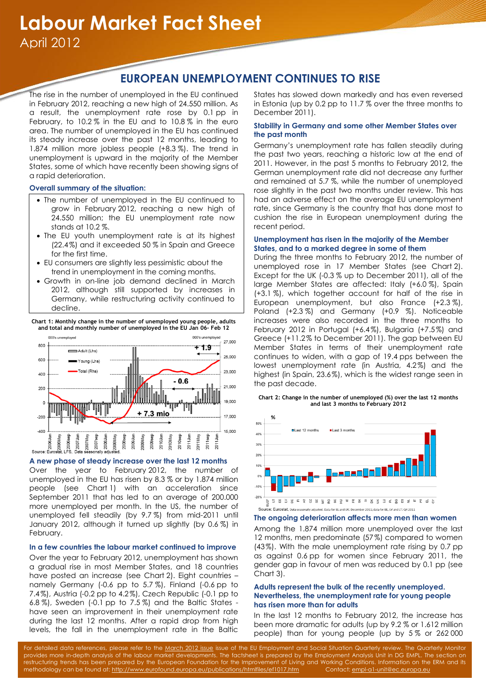# **EUROPEAN UNEMPLOYMENT CONTINUES TO RISE**

The rise in the number of unemployed in the EU continued in February 2012, reaching a new high of 24.550 million. As a result, the unemployment rate rose by 0.1 pp in February, to 10.2 % in the EU and to 10.8 % in the euro area. The number of unemployed in the EU has continued its steady increase over the past 12 months, leading to 1.874 million more jobless people (+8.3 %). The trend in unemployment is upward in the majority of the Member States, some of which have recently been showing signs of a rapid deterioration.

## **Overall summary of the situation:**

- The number of unemployed in the EU continued to grow in February 2012, reaching a new high of 24.550 million; the EU unemployment rate now stands at 10.2 %.
- The EU youth unemployment rate is at its highest (22.4%) and it exceeded 50 % in Spain and Greece for the first time.
- EU consumers are slightly less pessimistic about the trend in unemployment in the coming months.
- Growth in on-line job demand declined in March 2012, although still supported by increases in Germany, while restructuring activity continued to decline.

**Chart 1: Monthly change in the number of unemployed young people, adults and total and monthly number of unemployed in the EU Jan 06– Feb 12**



## **A new phase of steady increase over the last 12 months**

Over the year to February 2012, the number of unemployed in the EU has risen by 8.3 % or by 1.874 million people (see Chart 1) with an acceleration since September 2011 that has led to an average of 200.000 more unemployed per month. In the US, the number of unemployed fell steadily (by 9.7 %) from mid-2011 until January 2012, although it turned up slightly (by 0.6 %) in February.

## **In a few countries the labour market continued to improve**

Over the year to February 2012, unemployment has shown a gradual rise in most Member States, and 18 countries have posted an increase (see Chart 2). Eight countries – namely Germany (-0.6 pp to 5.7 %), Finland (-0.6 pp to 7.4%), Austria (-0.2 pp to 4.2%), Czech Republic (-0.1 pp to 6.8 %), Sweden (-0.1 pp to 7.5 %) and the Baltic States have seen an improvement in their unemployment rate during the last 12 months. After a rapid drop from high levels, the fall in the unemployment rate in the Baltic

States has slowed down markedly and has even reversed in Estonia (up by 0.2 pp to 11.7 % over the three months to December 2011).

## **Stability in Germany and some other Member States over the past month**

Germany's unemployment rate has fallen steadily during the past two years, reaching a historic low at the end of 2011. However, in the past 5 months to February 2012, the German unemployment rate did not decrease any further and remained at 5.7 %, while the number of unemployed rose slightly in the past two months under review. This has had an adverse effect on the average EU unemployment rate, since Germany is the country that has done most to cushion the rise in European unemployment during the recent period.

#### **Unemployment has risen in the majority of the Member States, and to a marked degree in some of them**

During the three months to February 2012, the number of unemployed rose in 17 Member States (see Chart 2). Except for the UK (-0.3 % up to December 2011), all of the large Member States are affected: Italy (+6.0 %), Spain (+3.1 %), which together account for half of the rise in European unemployment, but also France (+2.3 %), Poland (+2.3 %) and Germany (+0.9 %). Noticeable increases were also recorded in the three months to February 2012 in Portugal (+6.4%), Bulgaria (+7.5%) and Greece (+11.2% to December 2011). The gap between EU Member States in terms of their unemployment rate continues to widen, with a gap of 19.4 pps between the lowest unemployment rate (in Austria, 4.2%) and the highest (in Spain, 23.6%), which is the widest range seen in the past decade.

**Chart 2: Change in the number of unemployed (%) over the last 12 months and last 3 months to February 2012**



### **The ongoing deterioration affects more men than women**

Among the 1.874 million more unemployed over the last 12 months, men predominate (57%) compared to women (43%). With the male unemployment rate rising by 0.7 pp as against 0.6 pp for women since February 2011, the gender gap in favour of men was reduced by 0.1 pp (see Chart 3).

## **Adults represent the bulk of the recently unemployed. Nevertheless, the unemployment rate for young people has risen more than for adults**

In the last 12 months to February 2012, the increase has been more dramatic for adults (up by 9.2 % or 1.612 million people) than for young people (up by 5 % or 262 000

For detailed data references, please refer to the [March 2012 issue](http://ec.europa.eu/social/main.jsp?langId=en&catId=113&newsId=1255&furtherNews=yes) issue of the EU Employment and Social Situation Quarterly review. The Quarterly Monitor provides more in-depth analysis of the labour market developments. The factsheet is prepared by the Employment Analysis Unit in DG EMPL. The section on restructuring trends has been prepared by the European Foundation for the Improvement of Living and Working Conditions. Information on the ERM and its methodology can be found at[: http://www.eurofound.europa.eu/publications/htmlfiles/ef1017.htm](http://www.eurofound.europa.eu/publications/htmlfiles/ef1017.htm) Contact[: empl-a1-unit@ec.europa.eu](mailto:empl-a1-unit@ec.europa.eu)